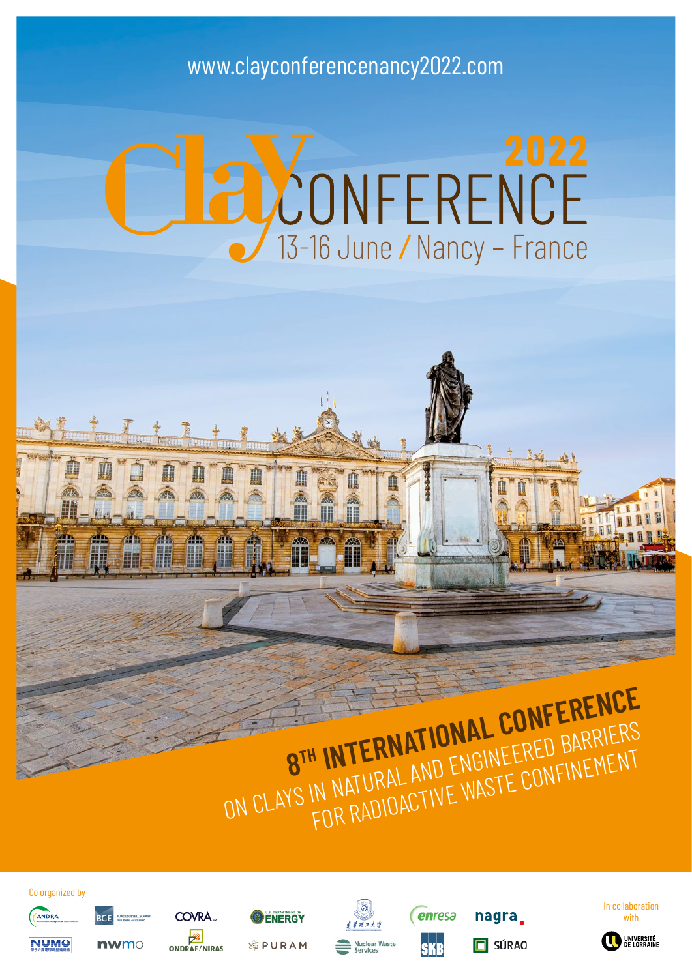# www.clayconferencenancy2022.com

# **DONFERENCE**

# **8<sup>TH</sup> INTERNATIONAL CONFERENCE**<br>ON CLAYS IN NATURAL AND ENGINEERED BARRIERS<br>ON CLAYS IN NATURAL AND ENGINEERED BARRIERS I INTERNAL AND ENGINEERED FINEMENT<br>IN NATURAL AND ENGINEERED<br>FOR RADIOACTIVE WASTE CONFINEMENT

enresa

**SKR** 

nagra.

 $\Box$  SÚRAO











**NUMO** nwmc

**PCE** 











COVRA.

**ENERGY** 

**&PURAM**